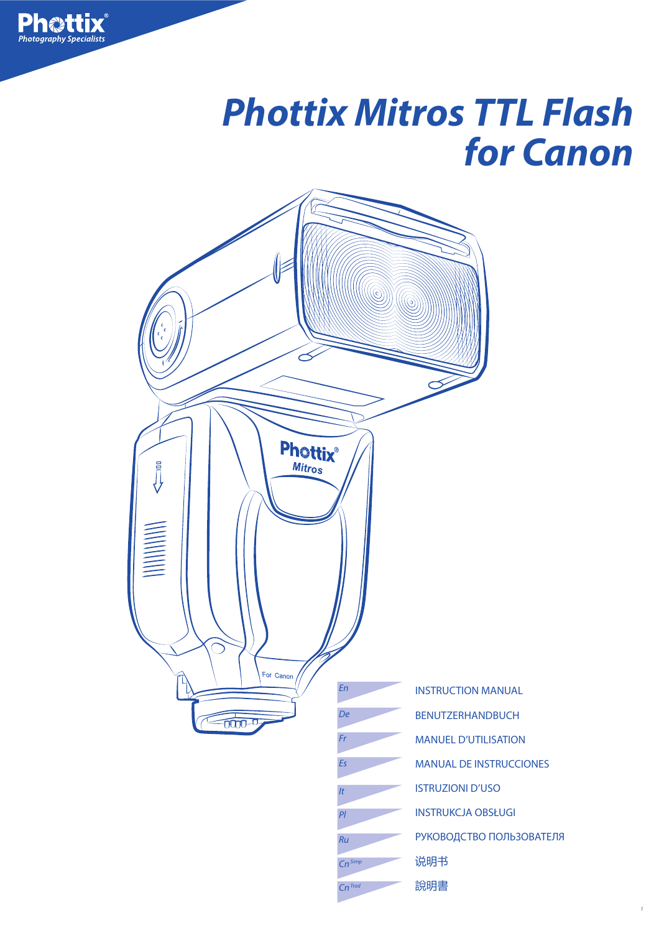# **Phottix Mitros TTL Flash for Canon**

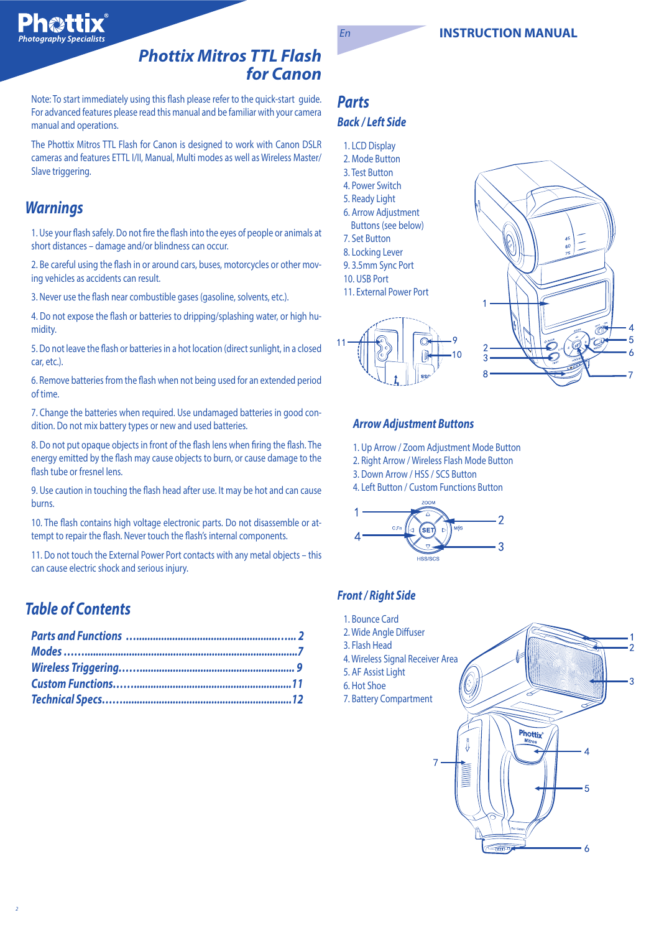



### **Phottix Mitros TTL Flash for Canon**

Note: To start immediately using this flash please refer to the quick-start guide. For advanced features please read this manual and be familiar with your camera manual and operations.

The Phottix Mitros TTL Flash for Canon is designed to work with Canon DSLR cameras and features ETTL I/II, Manual, Multi modes as well as Wireless Master/ Slave triggering.

# **Warnings**

1. Use your flash safely. Do not fire the flash into the eyes of people or animals at short distances – damage and/or blindness can occur.

2. Be careful using the flash in or around cars, buses, motorcycles or other moving vehicles as accidents can result.

3. Never use the flash near combustible gases (gasoline, solvents, etc.).

4. Do not expose the flash or batteries to dripping/splashing water, or high humidity.

5. Do not leave the flash or batteries in a hot location (direct sunlight, in a closed car, etc.).

6. Remove batteries from the flash when not being used for an extended period of time.

7. Change the batteries when required. Use undamaged batteries in good condition. Do not mix battery types or new and used batteries.

8. Do not put opaque objects in front of the flash lens when firing the flash. The energy emitted by the flash may cause objects to burn, or cause damage to the flash tube or fresnel lens.

9. Use caution in touching the flash head after use. It may be hot and can cause burns.

10. The flash contains high voltage electronic parts. Do not disassemble or attempt to repair the flash. Never touch the flash's internal components.

11. Do not touch the External Power Port contacts with any metal objects – this can cause electric shock and serious injury.

## **Table of Contents**

### **Parts Back / Left Side**

- 1. LCD Display
- 2. Mode Button 3. Test Button
- 4. Power Switch
- 5. Ready Light
- 6. Arrow Adjustment
- Buttons (see below)
- 7. Set Button
- 8. Locking Lever
- 9. 3.5mm Sync Port
- 10. USB Port
- 11. External Power Port





#### **Arrow Adjustment Buttons**

- 1. Up Arrow / Zoom Adjustment Mode Button
- 2. Right Arrow / Wireless Flash Mode Button
- 3. Down Arrow / HSS / SCS Button

4. Left Button / Custom Functions Button



### **Front / Right Side**

- 1. Bounce Card
- 2. Wide Angle Diffuser
- 3. Flash Head
- 4. Wireless Signal Receiver Area
- 5. AF Assist Light
- 6. Hot Shoe
- 7. Battery Compartment

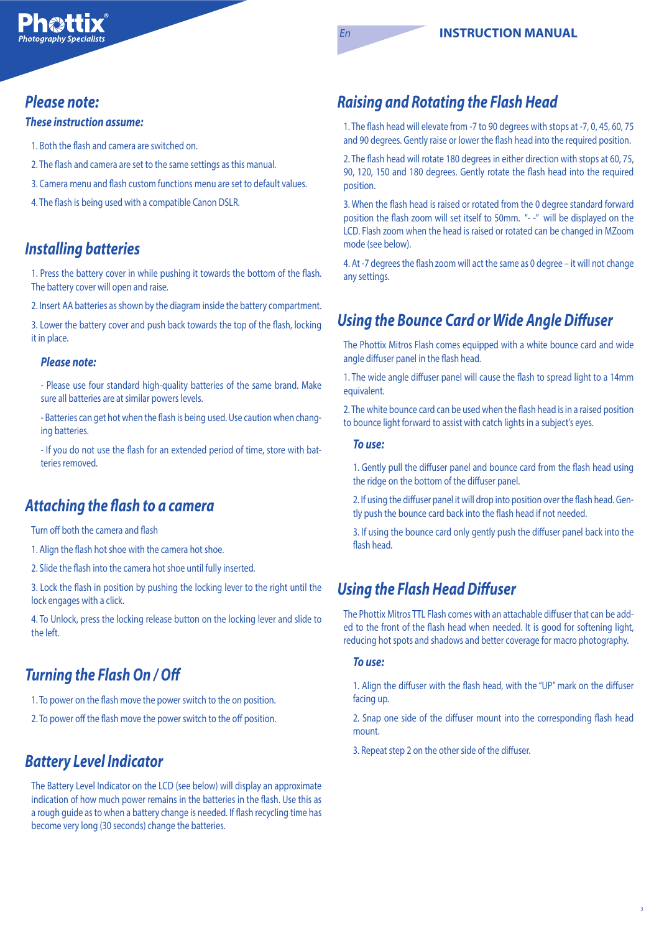### **Please note:**

#### **These instruction assume:**

1. Both the flash and camera are switched on.

- 2. The flash and camera are set to the same settings as this manual.
- 3. Camera menu and flash custom functions menu are set to default values.
- 4. The flash is being used with a compatible Canon DSLR.

# **Installing batteries**

1. Press the battery cover in while pushing it towards the bottom of the flash. The battery cover will open and raise.

2. Insert AA batteries as shown by the diagram inside the battery compartment.

3. Lower the battery cover and push back towards the top of the flash, locking it in place.

#### **Please note:**

- Please use four standard high-quality batteries of the same brand. Make sure all batteries are at similar powers levels.

- Batteries can get hot when the flash is being used. Use caution when changing batteries.

- If you do not use the flash for an extended period of time, store with batteries removed.

# **Attaching the flash to a camera**

Turn off both the camera and flash

- 1. Align the flash hot shoe with the camera hot shoe.
- 2. Slide the flash into the camera hot shoe until fully inserted.

3. Lock the flash in position by pushing the locking lever to the right until the lock engages with a click.

4. To Unlock, press the locking release button on the locking lever and slide to the left.

# **Turning the Flash On / O#**

1. To power on the flash move the power switch to the on position.

2. To power off the flash move the power switch to the off position.

# **Battery Level Indicator**

The Battery Level Indicator on the LCD (see below) will display an approximate indication of how much power remains in the batteries in the flash. Use this as a rough guide as to when a battery change is needed. If flash recycling time has become very long (30 seconds) change the batteries.

# **Raising and Rotating the Flash Head**

1. The flash head will elevate from -7 to 90 degrees with stops at -7, 0, 45, 60, 75 and 90 degrees. Gently raise or lower the flash head into the required position.

2. The flash head will rotate 180 degrees in either direction with stops at 60, 75, 90, 120, 150 and 180 degrees. Gently rotate the flash head into the required position.

3. When the flash head is raised or rotated from the 0 degree standard forward position the flash zoom will set itself to 50mm. "--" will be displayed on the LCD. Flash zoom when the head is raised or rotated can be changed in MZoom mode (see below).

4. At -7 degrees the flash zoom will act the same as 0 degree – it will not change any settings.

# **Using the Bounce Card or Wide Angle Diffuser**

The Phottix Mitros Flash comes equipped with a white bounce card and wide angle diffuser panel in the flash head.

1. The wide angle diffuser panel will cause the flash to spread light to a 14mm equivalent.

2. The white bounce card can be used when the flash head is in a raised position to bounce light forward to assist with catch lights in a subject's eyes.

#### **To use:**

1. Gently pull the diffuser panel and bounce card from the flash head using the ridge on the bottom of the diffuser panel.

2. If using the diffuser panel it will drop into position over the flash head. Gently push the bounce card back into the flash head if not needed.

3. If using the bounce card only gently push the diffuser panel back into the flash head.

# **Using the Flash Head Diffuser**

The Phottix Mitros TTL Flash comes with an attachable diffuser that can be added to the front of the flash head when needed. It is good for softening light, reducing hot spots and shadows and better coverage for macro photography.

#### **To use:**

1. Align the diffuser with the flash head, with the "UP" mark on the diffuser facing up.

2. Snap one side of the diffuser mount into the corresponding flash head mount.

3. Repeat step 2 on the other side of the diffuser.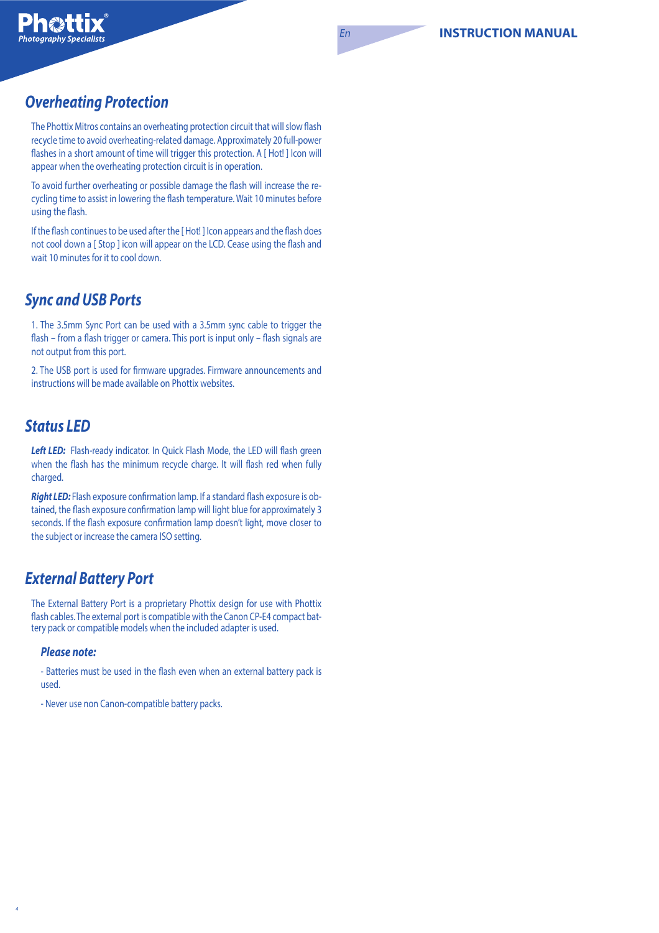# **Overheating Protection**

The Phottix Mitros contains an overheating protection circuit that will slow flash recycle time to avoid overheating-related damage. Approximately 20 full-power flashes in a short amount of time will trigger this protection. A [ Hot! ] Icon will appear when the overheating protection circuit is in operation.

To avoid further overheating or possible damage the flash will increase the recycling time to assist in lowering the flash temperature. Wait 10 minutes before using the flash.

If the flash continues to be used after the [Hot!] Icon appears and the flash does not cool down a [ Stop ] icon will appear on the LCD. Cease using the flash and wait 10 minutes for it to cool down.

# **Sync and USB Ports**

1. The 3.5mm Sync Port can be used with a 3.5mm sync cable to trigger the flash – from a flash trigger or camera. This port is input only – flash signals are not output from this port.

2. The USB port is used for firmware upgrades. Firmware announcements and instructions will be made available on Phottix websites.

# **Status LED**

Left LED: Flash-ready indicator. In Quick Flash Mode, the LED will flash green when the flash has the minimum recycle charge. It will flash red when fully charged.

**Right LED:** Flash exposure confirmation lamp. If a standard flash exposure is obtained, the flash exposure confirmation lamp will light blue for approximately 3 seconds. If the flash exposure confirmation lamp doesn't light, move closer to the subject or increase the camera ISO setting.

# **External Battery Port**

The External Battery Port is a proprietary Phottix design for use with Phottix flash cables. The external port is compatible with the Canon CP-E4 compact battery pack or compatible models when the included adapter is used.

#### **Please note:**

- Batteries must be used in the flash even when an external battery pack is used.

- Never use non Canon-compatible battery packs.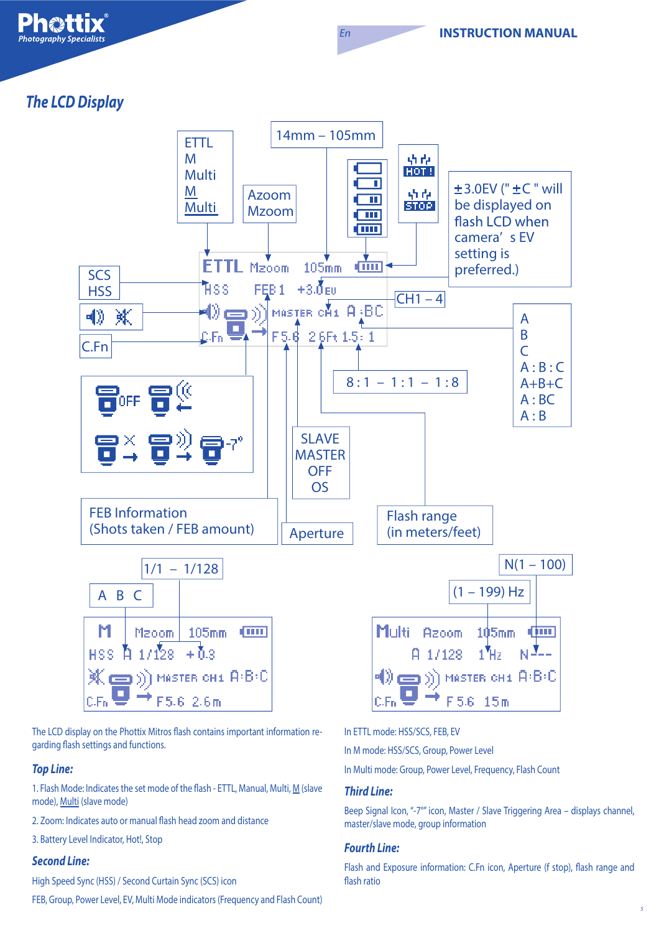**The LCD Display** 



En

The LCD display on the Phottix Mitros flash contains important information regarding flash settings and functions.

#### **Top Line:**

1. Flash Mode: Indicates the set mode of the flash - ETTL, Manual, Multi, M (slave mode), Multi (slave mode)

- 2. Zoom: Indicates auto or manual flash head zoom and distance
- 3. Battery Level Indicator, Hot!, Stop

#### **Second Line:**

High Speed Sync (HSS) / Second Curtain Sync (SCS) icon

FEB, Group, Power Level, EV, Multi Mode indicators (Frequency and Flash Count)

In ETTL mode: HSS/SCS, FEB, EV

In M mode: HSS/SCS, Group, Power Level

In Multi mode: Group, Power Level, Frequency, Flash Count

#### **Third Line:**

Beep Signal Icon, "-7°" icon, Master / Slave Triggering Area - displays channel, master/slave mode, group information

#### **Fourth Line:**

Flash and Exposure information: C.Fn icon, Aperture (f stop), flash range and flash ratio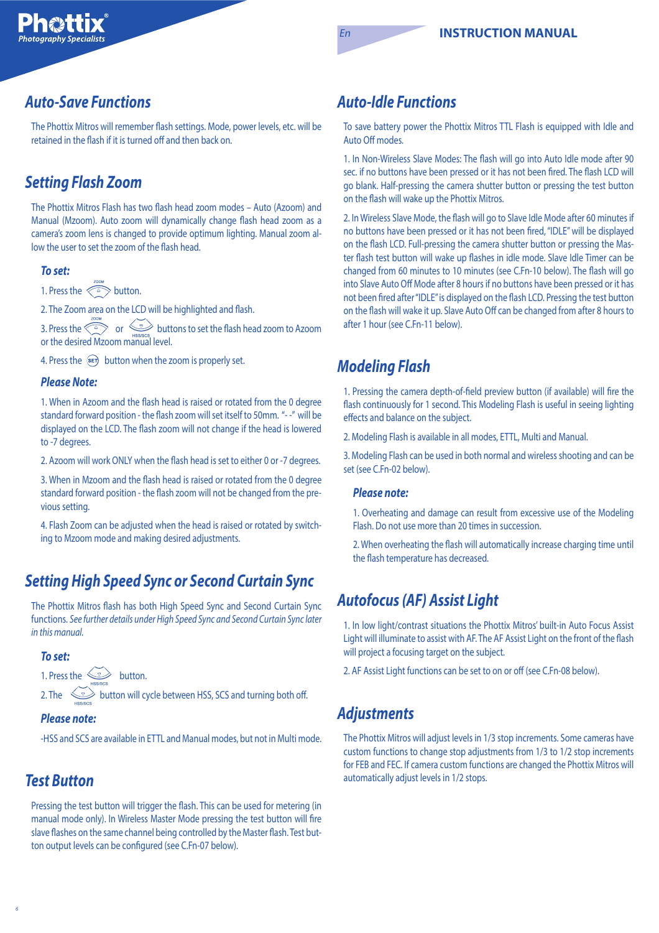## **Auto-Save Functions**

The Phottix Mitros will remember flash settings. Mode, power levels, etc. will be retained in the flash if it is turned off and then back on.

# **Setting Flash Zoom**

The Phottix Mitros Flash has two flash head zoom modes – Auto (Azoom) and Manual (Mzoom). Auto zoom will dynamically change flash head zoom as a camera's zoom lens is changed to provide optimum lighting. Manual zoom allow the user to set the zoom of the flash head.

#### **To set:**

1. Press the  $\overbrace{a}^{200M}$  button.

2. The Zoom area on the LCD will be highlighted and flash.

3. Press the  $\leq\leq\gg$  or  $\leq\equiv$  buttons to set the flash head zoom to Azoom or the desired Mzoom manual level.

4. Press the  $\overline{sp}$  button when the zoom is properly set.

#### **Please Note:**

1. When in Azoom and the flash head is raised or rotated from the 0 degree standard forward position - the flash zoom will set itself to 50mm. "--" will be displayed on the LCD. The flash zoom will not change if the head is lowered to -7 degrees.

2. Azoom will work ONLY when the flash head is set to either 0 or -7 degrees.

3. When in Mzoom and the flash head is raised or rotated from the 0 degree standard forward position - the flash zoom will not be changed from the previous setting.

4. Flash Zoom can be adjusted when the head is raised or rotated by switching to Mzoom mode and making desired adjustments.

# **Setting High Speed Sync or Second Curtain Sync**

The Phottix Mitros flash has both High Speed Sync and Second Curtain Sync functions. See further details under High Speed Sync and Second Curtain Sync later in this manual.

#### **To set:**

1. Press the  $\leq$  button.

2. The  $\sum_{\text{sees} \atop \text{sees} \leq \text{sees} \leq \text{sees}}$  button will cycle between HSS, SCS and turning both off.

#### **Please note:**

-HSS and SCS are available in ETTL and Manual modes, but not in Multi mode.

### **Test Button**

Pressing the test button will trigger the flash. This can be used for metering (in manual mode only). In Wireless Master Mode pressing the test button will fire slave flashes on the same channel being controlled by the Master flash. Test button output levels can be configured (see C.Fn-07 below).

### **Auto-Idle Functions**

To save battery power the Phottix Mitros TTL Flash is equipped with Idle and Auto Off modes.

1. In Non-Wireless Slave Modes: The flash will go into Auto Idle mode after 90 sec. if no buttons have been pressed or it has not been fired. The flash LCD will go blank. Half-pressing the camera shutter button or pressing the test button on the flash will wake up the Phottix Mitros.

2. In Wireless Slave Mode, the flash will go to Slave Idle Mode after 60 minutes if no buttons have been pressed or it has not been fired, "IDLE" will be displayed on the flash LCD. Full-pressing the camera shutter button or pressing the Master flash test button will wake up flashes in idle mode. Slave Idle Timer can be changed from 60 minutes to 10 minutes (see C.Fn-10 below). The flash will go into Slave Auto Off Mode after 8 hours if no buttons have been pressed or it has not been fired after "IDLE" is displayed on the flash LCD. Pressing the test button on the flash will wake it up. Slave Auto Off can be changed from after 8 hours to after 1 hour (see C.Fn-11 below).

# **Modeling Flash**

1. Pressing the camera depth-of-field preview button (if available) will fire the flash continuously for 1 second. This Modeling Flash is useful in seeing lighting effects and balance on the subject.

2. Modeling Flash is available in all modes, ETTL, Multi and Manual.

3. Modeling Flash can be used in both normal and wireless shooting and can be set (see C.Fn-02 below).

#### **Please note:**

1. Overheating and damage can result from excessive use of the Modeling Flash. Do not use more than 20 times in succession.

2. When overheating the flash will automatically increase charging time until the flash temperature has decreased.

### **Autofocus (AF) Assist Light**

1. In low light/contrast situations the Phottix Mitros' built-in Auto Focus Assist Light will illuminate to assist with AF. The AF Assist Light on the front of the flash will project a focusing target on the subject.

2. AF Assist Light functions can be set to on or off (see C.Fn-08 below).

## **Adjustments**

The Phottix Mitros will adjust levels in 1/3 stop increments. Some cameras have custom functions to change stop adjustments from 1/3 to 1/2 stop increments for FEB and FEC. If camera custom functions are changed the Phottix Mitros will automatically adjust levels in 1/2 stops.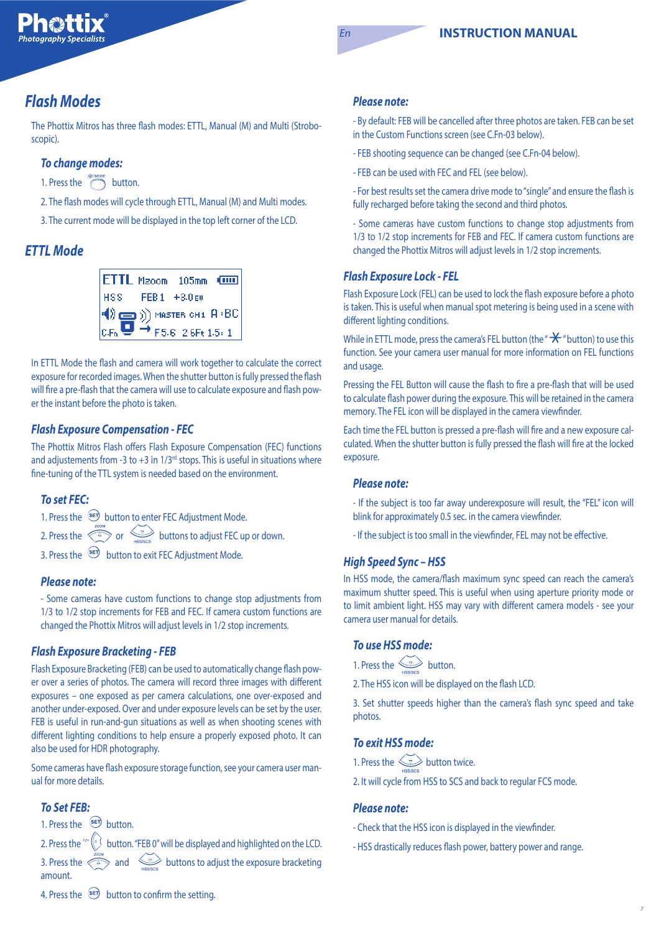#### En **INSTRUCTION MANUAL**

## **Flash Modes**

The Phottix Mitros has three flash modes: ETTL, Manual (M) and Multi (Stroboscopic).

### **To change modes:**

- 1. Press the  $\bigcirc$  button.
- 2. The flash modes will cycle through ETTL, Manual (M) and Multi modes.
- 3. The current mode will be displayed in the top left corner of the LCD.

### **ETTL Mode**

|                 | ETTL Mzoom 105mm (TITL                                                                                                                                                           |  |
|-----------------|----------------------------------------------------------------------------------------------------------------------------------------------------------------------------------|--|
| HSS FEB1 +3.0EV |                                                                                                                                                                                  |  |
|                 | $\begin{pmatrix} 0 & 0 \\ 0 & F_0 \end{pmatrix}$ Mester OH1 $\begin{pmatrix} 0 & 0 \\ 0 & F_0 \end{pmatrix}$ (C, F <sub>n</sub> $\begin{pmatrix} 0 & 0 \\ 0 & F_0 \end{pmatrix}$ |  |
|                 |                                                                                                                                                                                  |  |

In ETTL Mode the flash and camera will work together to calculate the correct exposure for recorded images. When the shutter button is fully pressed the flash will fire a pre-flash that the camera will use to calculate exposure and flash power the instant before the photo is taken.

#### **Flash Exposure Compensation - FEC**

The Phottix Mitros Flash offers Flash Exposure Compensation (FEC) functions and adjustements from -3 to +3 in  $1/3^{rd}$  stops. This is useful in situations where fine-tuning of the TTL system is needed based on the environment.

#### **To set FEC:**

1. Press the <sup>SET</sup> button to enter FEC Adjustment Mode. 2. Press the  $\overbrace{c}^{\frac{700M}{2}}$  or  $\overbrace{c}^{\frac{7}{2}}$  buttons to adjust FEC up or down. 3. Press the  $\frac{\text{sech}}{\text{B}}$  button to exit FEC Adjustment Mode.

#### **Please note:**

- Some cameras have custom functions to change stop adjustments from 1/3 to 1/2 stop increments for FEB and FEC. If camera custom functions are changed the Phottix Mitros will adjust levels in 1/2 stop increments.

#### **Flash Exposure Bracketing - FEB**

Flash Exposure Bracketing (FEB) can be used to automatically change flash power over a series of photos. The camera will record three images with different exposures – one exposed as per camera calculations, one over-exposed and another under-exposed. Over and under exposure levels can be set by the user. FEB is useful in run-and-gun situations as well as when shooting scenes with different lighting conditions to help ensure a properly exposed photo. It can also be used for HDR photography.

Some cameras have flash exposure storage function, see your camera user manual for more details.

### **To Set FEB:**

amount.

1. Press the  $\overline{\text{er}}$  button.

2. Press the  $\frac{c}{n}$  button. "FEB 0" will be displayed and highlighted on the LCD. 3. Press the  $\overbrace{a}^{\infty}$  and buttons to adjust the exposure bracketing

#### **Please note:**

- By default: FEB will be cancelled after three photos are taken. FEB can be set in the Custom Functions screen (see C.Fn-03 below).

- FEB shooting sequence can be changed (see C.Fn-04 below).
- FEB can be used with FEC and FEL (see below).

- For best results set the camera drive mode to "single" and ensure the flash is fully recharged before taking the second and third photos.

- Some cameras have custom functions to change stop adjustments from 1/3 to 1/2 stop increments for FEB and FEC. If camera custom functions are changed the Phottix Mitros will adjust levels in 1/2 stop increments.

#### **Flash Exposure Lock - FEL**

Flash Exposure Lock (FEL) can be used to lock the flash exposure before a photo is taken. This is useful when manual spot metering is being used in a scene with different lighting conditions.

While in ETTL mode, press the camera's FEL button (the " $\mathcal{H}$ " button) to use this function. See your camera user manual for more information on FEL functions and usage.

Pressing the FEL Button will cause the flash to fire a pre-flash that will be used to calculate flash power during the exposure. This will be retained in the camera memory. The FEL icon will be displayed in the camera viewfinder.

Each time the FEL button is pressed a pre-flash will fire and a new exposure calculated. When the shutter button is fully pressed the flash will fire at the locked exposure.

#### **Please note:**

- If the subject is too far away underexposure will result, the "FEL" icon will blink for approximately 0.5 sec. in the camera viewfinder.
- If the subject is too small in the viewfinder, FEL may not be effective.

#### **High Speed Sync – HSS**

In HSS mode, the camera/flash maximum sync speed can reach the camera's maximum shutter speed. This is useful when using aperture priority mode or to limit ambient light. HSS may vary with different camera models - see your camera user manual for details.

#### **To use HSS mode:**

1. Press the  $\leq$  button.

2. The HSS icon will be displayed on the flash LCD.

3. Set shutter speeds higher than the camera's flash sync speed and take photos.

#### **To exit HSS mode:**

1. Press the  $\leq$  button twice.

2. It will cycle from HSS to SCS and back to regular FCS mode.

#### **Please note:**

- Check that the HSS icon is displayed in the viewfinder.
- HSS drastically reduces flash power, battery power and range.

4. Press the  $\frac{\text{sech}}{\text{B}}$  button to confirm the setting.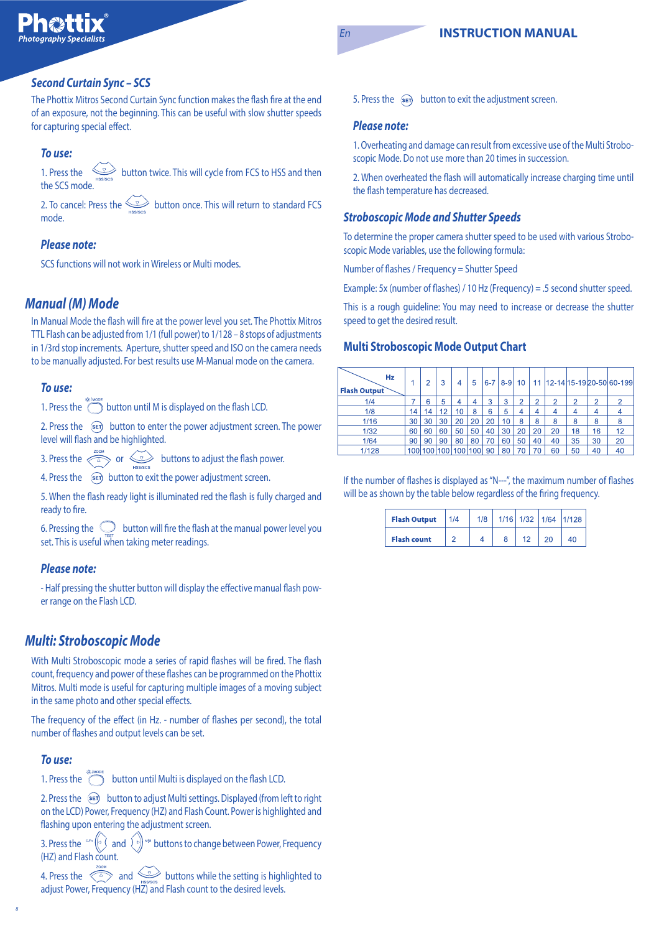#### **Second Curtain Sync – SCS**

The Phottix Mitros Second Curtain Sync function makes the flash fire at the end of an exposure, not the beginning. This can be useful with slow shutter speeds for capturing special effect.

#### **To use:**

1. Press the button twice. This will cycle from FCS to HSS and then the SCS mode.

2. To cancel: Press the  $\leq \searrow$  button once. This will return to standard FCS mode.

#### **Please note:**

SCS functions will not work in Wireless or Multi modes.

### **Manual (M) Mode**

In Manual Mode the flash will fire at the power level you set. The Phottix Mitros TTL Flash can be adjusted from 1/1 (full power) to 1/128 – 8 stops of adjustments in 1/3rd stop increments. Aperture, shutter speed and ISO on the camera needs to be manually adjusted. For best results use M-Manual mode on the camera.

#### **To use:**

1. Press the  $\bigodot$  button until M is displayed on the flash LCD.

2. Press the  $\circledast$  button to enter the power adjustment screen. The power level will flash and be highlighted.

3. Press the  $\iff$  or buttons to adjust the flash power.

4. Press the  $\circ$  = button to exit the power adjustment screen.

5. When the flash ready light is illuminated red the flash is fully charged and ready to fire.

6. Pressing the  $\Box$  button will fire the flash at the manual power level you set. This is useful when taking meter readings.

#### **Please note:**

- Half pressing the shutter button will display the effective manual flash power range on the Flash LCD.

### **Multi: Stroboscopic Mode**

With Multi Stroboscopic mode a series of rapid flashes will be fired. The flash count, frequency and power of these flashes can be programmed on the Phottix Mitros. Multi mode is useful for capturing multiple images of a moving subject in the same photo and other special effects.

The frequency of the effect (in Hz. - number of flashes per second), the total number of flashes and output levels can be set.

#### **To use:**

8

1. Press the  $\overline{\text{cos}}$  button until Multi is displayed on the flash LCD.

2. Press the  $\circledast$  button to adjust Multi settings. Displayed (from left to right on the LCD) Power, Frequency (HZ) and Flash Count. Power is highlighted and flashing upon entering the adjustment screen.

3. Press the  $\sqrt[nm]{\alpha}$  and  $\sqrt[nm]{\alpha}$  buttons to change between Power, Frequency (HZ) and Flash count.

4. Press the  $\ll\geq$  and  $\ll\gg$  buttons while the setting is highlighted to adjust Power, Frequency (HZ) and Flash count to the desired levels.

5. Press the  $\binom{2}{5}$  button to exit the adjustment screen.

#### **Please note:**

1. Overheating and damage can result from excessive use of the Multi Stroboscopic Mode. Do not use more than 20 times in succession.

2. When overheated the flash will automatically increase charging time until the flash temperature has decreased.

#### **Stroboscopic Mode and Shutter Speeds**

To determine the proper camera shutter speed to be used with various Stroboscopic Mode variables, use the following formula:

Number of flashes / Frequency = Shutter Speed

Example: 5x (number of flashes) / 10 Hz (Frequency) = .5 second shutter speed.

This is a rough guideline: You may need to increase or decrease the shutter speed to get the desired result.

#### **Multi Stroboscopic Mode Output Chart**

| Hz<br><b>Flash Output</b> |    | 2       | 3   | 4       | 5  | $6 - 7$ | $8 - 9$ | 10 |                |    |    |                | 11   12-14   15-19   20-50   60-199 |
|---------------------------|----|---------|-----|---------|----|---------|---------|----|----------------|----|----|----------------|-------------------------------------|
| 1/4                       |    | 6       | 5   | 4       | 4  | 3       | 3       | 2  | $\overline{2}$ | 2  | 2  | $\overline{2}$ |                                     |
| 1/8                       | 14 | 14      | 12  | 10      | 8  | 6       | 5       | 4  | 4              | 4  | 4  |                |                                     |
| 1/16                      | 30 | 30      | 30  | 20      | 20 | 20      | 10      | 8  | 8              | 8  | 8  | 8              | 8                                   |
| $1/32$                    | 60 | 60      | 60  | 50      | 50 | 40      | 30      | 20 | 20             | 20 | 18 | 16             | 12                                  |
| 1/64                      | 90 | 90      | 90  | 80      | 80 | 70      | 60      | 50 | 40             | 40 | 35 | 30             | 20                                  |
| 1/128                     |    | 100 100 | 100 | 100 100 |    | 90      | 80      | 70 | 70             | 60 | 50 | 40             | 40                                  |

If the number of flashes is displayed as "N---", the maximum number of flashes will be as shown by the table below regardless of the firing frequency.

| <b>Flash Output</b> | 1/4 | 1/8 |  |    | 1/16 1/32 1/64 1/128 |
|---------------------|-----|-----|--|----|----------------------|
| <b>Flash count</b>  |     |     |  | 20 | 40                   |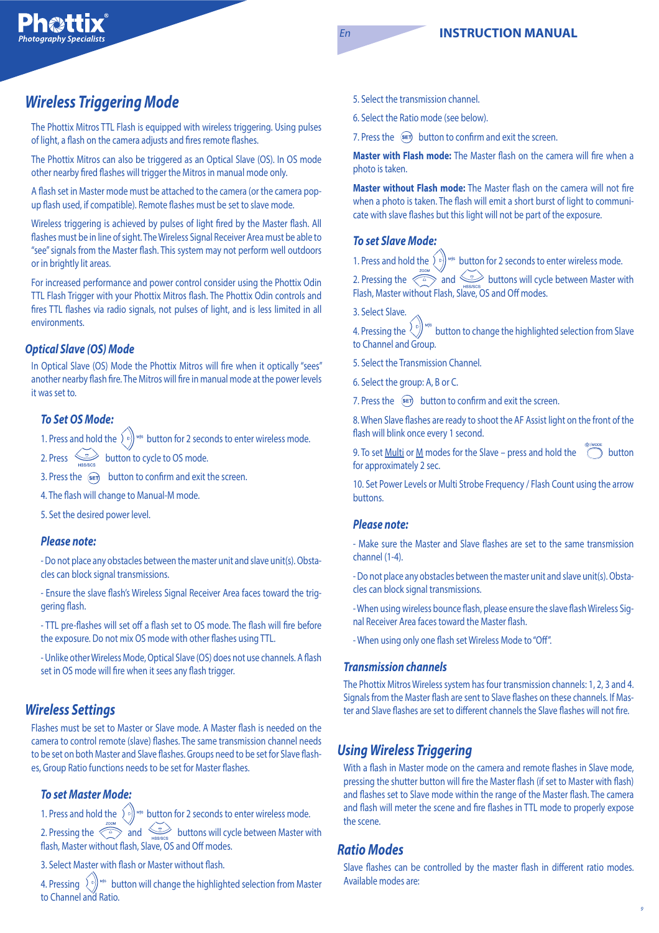# **Wireless Triggering Mode**

The Phottix Mitros TTL Flash is equipped with wireless triggering. Using pulses of light, a flash on the camera adjusts and fires remote flashes.

The Phottix Mitros can also be triggered as an Optical Slave (OS). In OS mode other nearby fired flashes will trigger the Mitros in manual mode only.

A flash set in Master mode must be attached to the camera (or the camera popup flash used, if compatible). Remote flashes must be set to slave mode.

Wireless triggering is achieved by pulses of light fired by the Master flash. All flashes must be in line of sight. The Wireless Signal Receiver Area must be able to "see" signals from the Master flash. This system may not perform well outdoors or in brightly lit areas.

For increased performance and power control consider using the Phottix Odin TTL Flash Trigger with your Phottix Mitros flash. The Phottix Odin controls and fires TTL flashes via radio signals, not pulses of light, and is less limited in all environments.

#### **Optical Slave (OS) Mode**

In Optical Slave (OS) Mode the Phottix Mitros will fire when it optically "sees" another nearby flash fire. The Mitros will fire in manual mode at the power levels it was set to.

#### **To Set OS Mode:**

1. Press and hold the  $\left\{v\right\}^{Ms}$  button for 2 seconds to enter wireless mode.

2. Press  $\overline{\text{L}}$  button to cycle to OS mode.

3. Press the  $\circledast$  button to confirm and exit the screen.

4. The flash will change to Manual-M mode.

5. Set the desired power level.

#### **Please note:**

- Do not place any obstacles between the master unit and slave unit(s). Obstacles can block signal transmissions.

- Ensure the slave flash's Wireless Signal Receiver Area faces toward the triggering flash.

- TTL pre-flashes will set off a flash set to OS mode. The flash will fire before the exposure. Do not mix OS mode with other flashes using TTL.

- Unlike other Wireless Mode, Optical Slave (OS) does not use channels. A flash set in OS mode will fire when it sees any flash trigger.

### **Wireless Settings**

Flashes must be set to Master or Slave mode. A Master flash is needed on the camera to control remote (slave) flashes. The same transmission channel needs to be set on both Master and Slave flashes. Groups need to be set for Slave flashes, Group Ratio functions needs to be set for Master flashes.

#### **To set Master Mode:**

1. Press and hold the  $\Omega$   $\left( \cdot \right)$ <sup>*wis*</sup> button for 2 seconds to enter wireless mode. 2. Pressing the  $\langle \frac{a}{2} \rangle$  and buttons will cycle between Master with flash, Master without flash, Slave, OS and Off modes.

3. Select Master with flash or Master without flash.

4. Pressing  $\left\{ \infty \right\}$ <sup>ws</sup> button will change the highlighted selection from Master to Channel and Ratio.

5. Select the transmission channel.

6. Select the Ratio mode (see below).

7. Press the  $\sin$  button to confirm and exit the screen.

**Master with Flash mode:** The Master flash on the camera will fire when a photo is taken.

**Master without Flash mode:** The Master flash on the camera will not fire when a photo is taken. The flash will emit a short burst of light to communicate with slave flashes but this light will not be part of the exposure.

#### **To set Slave Mode:**

1. Press and hold the  $\binom{6}{k}$ <sup>us</sup> button for 2 seconds to enter wireless mode.

2. Pressing the  $\langle \cdot \rangle$  and  $\langle \cdot \rangle$  buttons will cycle between Master with Flash, Master without Flash, Slave, OS and Off modes.

3. Select Slave.

4. Pressing the  $\binom{6}{5}$  and button to change the highlighted selection from Slave to Channel and Group.

5. Select the Transmission Channel.

6. Select the group: A, B or C.

7. Press the  $\left( \mathbb{R}^{\mathbb{F}} \right)$  button to confirm and exit the screen.

8. When Slave flashes are ready to shoot the AF Assist light on the front of the flash will blink once every 1 second.

9. To set <u>Multi</u> or <u>M</u> modes for the Slave – press and hold the  $\bigcirc$  button for approximately 2 sec.

10. Set Power Levels or Multi Strobe Frequency / Flash Count using the arrow buttons.

#### **Please note:**

- Make sure the Master and Slave flashes are set to the same transmission channel (1-4).

- Do not place any obstacles between the master unit and slave unit(s). Obstacles can block signal transmissions.

- When using wireless bounce flash, please ensure the slave flash Wireless Signal Receiver Area faces toward the Master flash.

- When using only one flash set Wireless Mode to "Off".

#### **Transmission channels**

The Phottix Mitros Wireless system has four transmission channels: 1, 2, 3 and 4. Signals from the Master flash are sent to Slave flashes on these channels. If Master and Slave flashes are set to different channels the Slave flashes will not fire.

### **Using Wireless Triggering**

With a flash in Master mode on the camera and remote flashes in Slave mode, pressing the shutter button will fire the Master flash (if set to Master with flash) and flashes set to Slave mode within the range of the Master flash. The camera and flash will meter the scene and fire flashes in TTL mode to properly expose the scene.

#### **Ratio Modes**

Slave flashes can be controlled by the master flash in different ratio modes. Available modes are: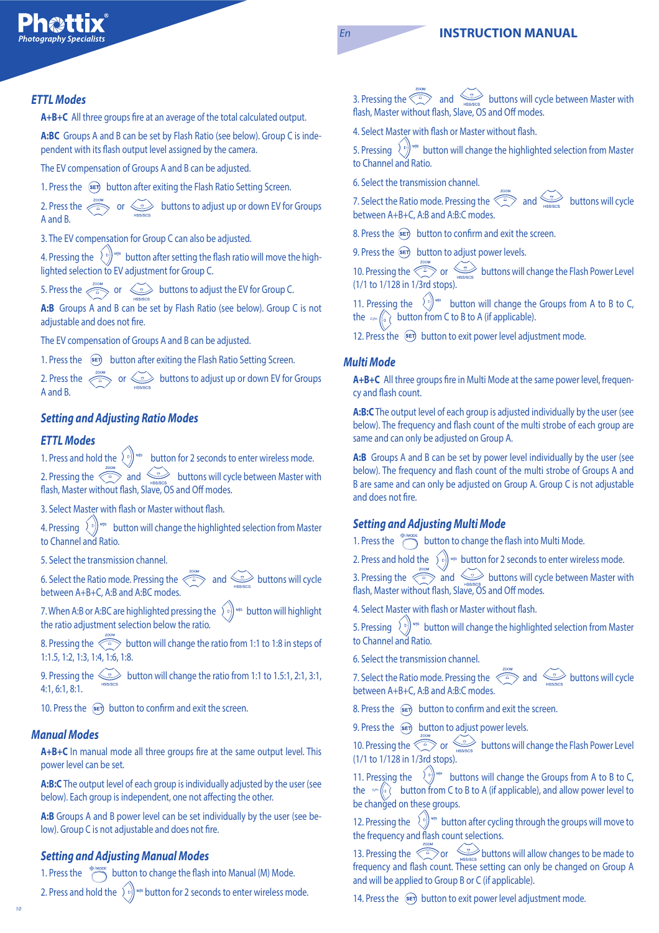### **En INSTRUCTION MANUAL**

#### **ETTL Modes**

**A+B+C** All three groups fire at an average of the total calculated output.

**A:BC** Groups A and B can be set by Flash Ratio (see below). Group C is independent with its flash output level assigned by the camera.

The EV compensation of Groups A and B can be adjusted.

1. Press the  $\overline{sp}$  button after exiting the Flash Ratio Setting Screen.

2. Press the  $\iff$  or  $\iff$  buttons to adjust up or down EV for Groups A and B.

3. The EV compensation for Group C can also be adjusted.

4. Pressing the  $\langle \langle \rangle \rangle$   $\sim$  button after setting the flash ratio will move the highlighted selection to EV adjustment for Group C.

5. Press the  $\iff$  or  $\iff$  buttons to adjust the EV for Group C.

**A:B** Groups A and B can be set by Flash Ratio (see below). Group C is not adjustable and does not fire.

The EV compensation of Groups A and B can be adjusted.

1. Press the  $\frac{1}{2}$  button after exiting the Flash Ratio Setting Screen.

2. Press the  $\iff$  or  $\iff$  buttons to adjust up or down EV for Groups A and B.

### **Setting and Adjusting Ratio Modes**

#### **ETTL Modes**

1. Press and hold the  $\left\{ \infty \right\}$ <sup>us</sup> button for 2 seconds to enter wireless mode. 2. Pressing the  $\langle \frac{\triangle}{\triangle} \rangle$  and  $\langle \frac{\triangle}{\triangle} \rangle$  buttons will cycle between Master with flash, Master without flash, Slave, OS and Off modes.

3. Select Master with flash or Master without flash.

4. Pressing  $\left\{ \begin{bmatrix} \epsilon \\ \end{bmatrix} \right\}$ <sup>M/s</sup> button will change the highlighted selection from Master to Channel and Ratio.

5. Select the transmission channel.

6. Select the Ratio mode. Pressing the  $\text{max}$  and buttons will cycle between A+B+C, A:B and A:BC modes.

7. When A:B or A:BC are highlighted pressing the  $\{e_i\}$  and button will highlight the ratio adjustment selection below the ratio.

8. Pressing the  $\iff$  button will change the ratio from 1:1 to 1:8 in steps of 1:1.5, 1:2, 1:3, 1:4, 1:6, 1:8.

9. Pressing the  $\leq$  button will change the ratio from 1:1 to 1.5:1, 2:1, 3:1, 4:1, 6:1, 8:1.

10. Press the  $\mathcal{F}$  button to confirm and exit the screen.

#### **Manual Modes**

A+B+C In manual mode all three groups fire at the same output level. This power level can be set.

**A:B:C** The output level of each group is individually adjusted by the user (see below). Each group is independent, one not affecting the other.

**A:B** Groups A and B power level can be set individually by the user (see below). Group C is not adjustable and does not fire.

#### **Setting and Adjusting Manual Modes**

1. Press the  $\overline{a}$  button to change the flash into Manual (M) Mode.

2. Press and hold the  $\left( \int_{\mathbb{R}} f \right)$   $\omega$  button for 2 seconds to enter wireless mode.

3. Pressing the  $\overbrace{\cdots}$  and buttons will cycle between Master with flash, Master without flash, Slave, OS and Off modes.

4. Select Master with flash or Master without flash.

5. Pressing  $\left\{ \begin{bmatrix} \epsilon \\ \end{bmatrix} \right\}$ <sup>ws</sup> button will change the highlighted selection from Master to Channel and Ratio.

6. Select the transmission channel.

7. Select the Ratio mode. Pressing the  $\lesssim\,2$  and  $\lesssim$  buttons will cycle between A+B+C, A:B and A:B:C modes.

8. Press the  $\overline{\text{se}}$  button to confirm and exit the screen.

9. Press the  $\overline{\text{sech}}$  button to adjust power levels.

10. Pressing the  $\overbrace{f^2}$  or buttons will change the Flash Power Level (1/1 to 1/128 in 1/3rd stops).

11. Pressing the  $\langle \xi \rangle$  button will change the Groups from A to B to C, the  $\cos \left(\sqrt{\frac{1}{2}}\right)$  button from C to B to A (if applicable).

12. Press the  $\sqrt{\epsilon}$  button to exit power level adjustment mode.

#### **Multi Mode**

**A+B+C** All three groups fire in Multi Mode at the same power level, frequency and flash count.

**A:B:C** The output level of each group is adjusted individually by the user (see below). The frequency and flash count of the multi strobe of each group are same and can only be adjusted on Group A.

**A:B** Groups A and B can be set by power level individually by the user (see below). The frequency and flash count of the multi strobe of Groups A and B are same and can only be adjusted on Group A. Group C is not adjustable and does not fire.

#### **Setting and Adjusting Multi Mode**

1. Press the  $\overbrace{ }^{4\% \text{ Moore}}$  button to change the flash into Multi Mode.

2. Press and hold the  $\widehat{\mathcal{L}}_k$  is button for 2 seconds to enter wireless mode.

3. Pressing the  $\ll_{\mathbb P}\llap{\sim}$  and  $\llap{\sim}$  buttons will cycle between Master with flash, Master without flash, Slave, OS and Off modes.

4. Select Master with flash or Master without flash.

5. Pressing  $\left\{ \epsilon \right\}$ <sup>ws</sup> button will change the highlighted selection from Master to Channel and Ratio.

6. Select the transmission channel.

7. Select the Ratio mode. Pressing the  $\iff$  and buttons will cycle between A+B+C, A:B and A:B:C modes.

8. Press the  $\circledast$  button to confirm and exit the screen.

9. Press the  $\circledast$  button to adjust power levels.

10. Pressing the  $\overline{\text{C}}$  or buttons will change the Flash Power Level (1/1 to 1/128 in 1/3rd stops).

11. Pressing the  $\langle \hat{\psi} \rangle$  buttons will change the Groups from A to B to C, the send (a) Gutton from C to B to A (if applicable), and allow power level to  $\overline{a}$ be changed on these groups.

12. Pressing the  $\left\{ \begin{array}{c} \ell \\ k \end{array} \right\}$  button after cycling through the groups will move to the frequency and flash count selections.

13. Pressing the  $\text{QCD}$  or buttons will allow changes to be made to frequency and flash count. These setting can only be changed on Group A and will be applied to Group B or C (if applicable).

14. Press the  $\left( \mathsf{se} \right)$  button to exit power level adjustment mode.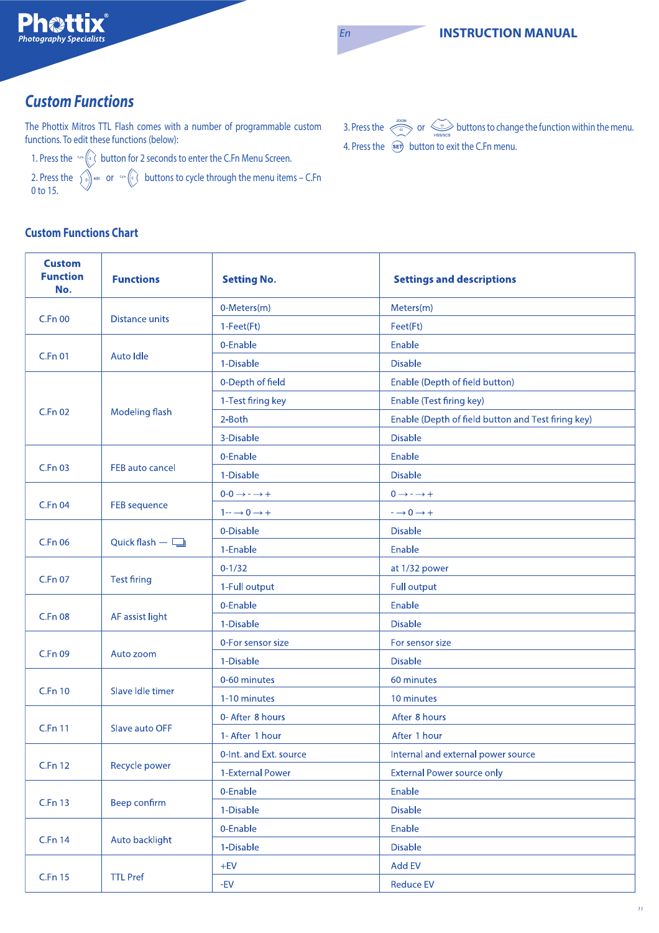# **Custom Functions**

The Phottix Mitros TTL Flash comes with a number of programmable custom functions. To edit these functions (below):

1. Press the  $\frac{1}{2}$  button for 2 seconds to enter the C.Fn Menu Screen.

2. Press the  $\gamma_{\mathfrak{p}}$  and  $\mathfrak{p}$  or  $\mathfrak{p}$  and  $(\mathfrak{q})$  buttons to cycle through the menu items – C.Fn 0 to 15.

3. Press the  $\iff$  or  $\iff$  buttons to change the function within the menu. 4. Press the  $\overbrace{\text{sech}}$  button to exit the C.Fn menu.

### **Custom Functions Chart**

| <b>Custom</b><br><b>Function</b><br>No. | <b>Functions</b>       | <b>Setting No.</b>                | <b>Settings and descriptions</b>                                                           |  |  |
|-----------------------------------------|------------------------|-----------------------------------|--------------------------------------------------------------------------------------------|--|--|
| <b>C.Fn 00</b><br><b>Distance units</b> |                        | 0-Meters(m)                       | Meters(m)                                                                                  |  |  |
|                                         |                        | 1-Feet(Ft)                        | Feet(Ft)                                                                                   |  |  |
|                                         |                        | 0-Enable                          | Enable                                                                                     |  |  |
| <b>C.Fn 01</b>                          | Auto Idle              | 1-Disable                         | <b>Disable</b>                                                                             |  |  |
|                                         |                        | 0-Depth of field                  | Enable (Depth of field button)                                                             |  |  |
|                                         |                        | 1-Test firing key                 | Enable (Test firing key)                                                                   |  |  |
| C.Fn 02                                 | Modeling flash         | 2-Both                            | Enable (Depth of field button and Test firing key)                                         |  |  |
|                                         |                        | 3-Disable                         | <b>Disable</b>                                                                             |  |  |
|                                         |                        | 0-Enable                          | Enable                                                                                     |  |  |
| <b>C.Fn 03</b>                          | <b>FEB auto cancel</b> | 1-Disable                         | <b>Disable</b>                                                                             |  |  |
|                                         |                        | $0-0 \rightarrow - \rightarrow +$ | $0 \rightarrow - \rightarrow +$                                                            |  |  |
| <b>C.Fn 04</b>                          | <b>FEB</b> sequence    | $1 - \rightarrow 0 \rightarrow +$ | $\mathord{\hspace{1pt}\text{--}\hspace{1pt}}\to 0 \mathord{\hspace{1pt}\to\hspace{1pt}} +$ |  |  |
|                                         | Quick flash $-\Box$    | 0-Disable                         | <b>Disable</b>                                                                             |  |  |
| C.Fn 06                                 |                        | 1-Enable                          | Enable                                                                                     |  |  |
|                                         | <b>Test firing</b>     | $0 - 1/32$                        | at 1/32 power                                                                              |  |  |
| C.Fn 07                                 |                        | 1-Full output                     | <b>Full output</b>                                                                         |  |  |
|                                         | AF assist light        | 0-Enable                          | Enable                                                                                     |  |  |
| <b>C.Fn 08</b>                          |                        | 1-Disable                         | <b>Disable</b>                                                                             |  |  |
|                                         | Auto zoom              | 0-For sensor size                 | For sensor size                                                                            |  |  |
| C.Fn 09                                 |                        | 1-Disable                         | <b>Disable</b>                                                                             |  |  |
|                                         |                        | 0-60 minutes                      | 60 minutes                                                                                 |  |  |
| <b>C.Fn 10</b>                          | Slave Idle timer       | 1-10 minutes                      | 10 minutes                                                                                 |  |  |
|                                         | Slave auto OFF         | 0- After 8 hours                  | After 8 hours                                                                              |  |  |
| <b>C.Fn 11</b>                          |                        | 1- After 1 hour                   | After 1 hour                                                                               |  |  |
| <b>C.Fn 12</b>                          | Recycle power          | 0-Int. and Ext. source            | Internal and external power source                                                         |  |  |
|                                         |                        | 1-External Power                  | <b>External Power source only</b>                                                          |  |  |
| C.Fn 13                                 |                        | 0-Enable                          | Enable                                                                                     |  |  |
|                                         | <b>Beep confirm</b>    | 1-Disable                         | <b>Disable</b>                                                                             |  |  |
|                                         |                        | 0-Enable                          | Enable                                                                                     |  |  |
| <b>C.Fn 14</b>                          | Auto backlight         | 1-Disable                         | <b>Disable</b>                                                                             |  |  |
|                                         |                        | $+EV$                             | Add EV                                                                                     |  |  |
| C.Fn 15                                 | <b>TTL Pref</b>        | $-EV$                             | <b>Reduce EV</b>                                                                           |  |  |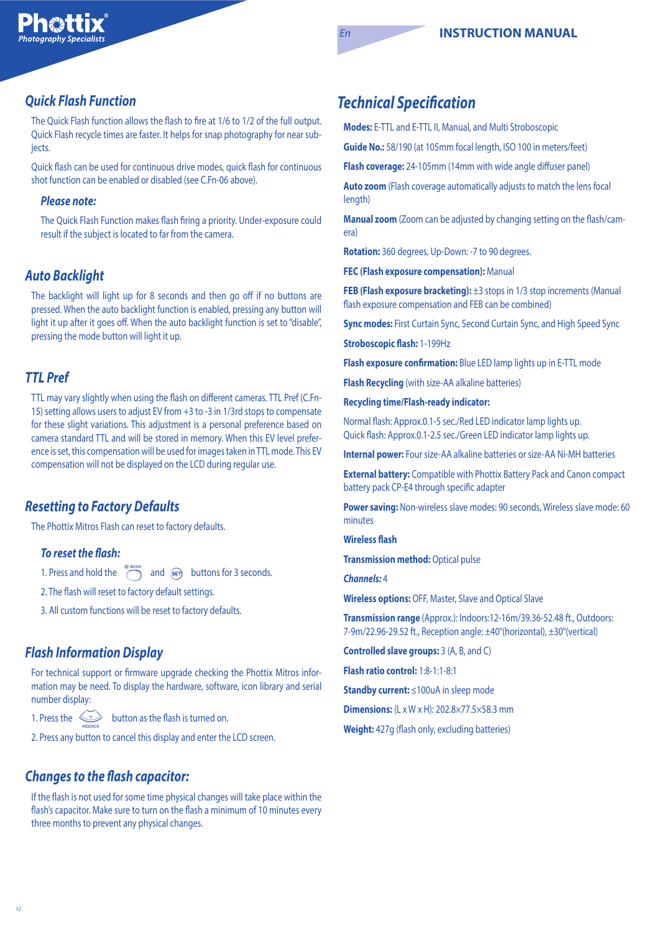### **Quick Flash Function**

The Quick Flash function allows the flash to fire at 1/6 to 1/2 of the full output. Quick Flash recycle times are faster. It helps for snap photography for near subjects.

Quick flash can be used for continuous drive modes, quick flash for continuous shot function can be enabled or disabled (see C.Fn-06 above).

#### **Please note:**

The Quick Flash Function makes flash firing a priority. Under-exposure could result if the subject is located to far from the camera.

### **Auto Backlight**

The backlight will light up for 8 seconds and then go off if no buttons are pressed. When the auto backlight function is enabled, pressing any button will light it up after it goes off. When the auto backlight function is set to "disable", pressing the mode button will light it up.

### **TTL Pref**

TTL may vary slightly when using the flash on different cameras. TTL Pref (C.Fn-15) setting allows users to adjust EV from +3 to -3 in 1/3rd stops to compensate for these slight variations. This adjustment is a personal preference based on camera standard TTL and will be stored in memory. When this EV level preference is set, this compensation will be used for images taken in TTL mode. This EV compensation will not be displayed on the LCD during regular use.

### **Resetting to Factory Defaults**

The Phottix Mitros Flash can reset to factory defaults.

#### **To reset the flash:**

1. Press and hold the  $\sum_{x \in M \text{ nodes}}^{\text{R/MODE}}$  and  $\widehat{\text{sep}}$  buttons for 3 seconds.

2. The flash will reset to factory default settings.

3. All custom functions will be reset to factory defaults.

### **Flash Information Display**

For technical support or firmware upgrade checking the Phottix Mitros information may be need. To display the hardware, software, icon library and serial number display:

1. Press the  $\leq$  button as the flash is turned on.

2. Press any button to cancel this display and enter the LCD screen.

### **Changes to the flash capacitor:**

If the flash is not used for some time physical changes will take place within the flash's capacitor. Make sure to turn on the flash a minimum of 10 minutes every three months to prevent any physical changes.

## **Technical Specification**

**Modes:** E-TTL and E-TTL II, Manual, and Multi Stroboscopic

**Guide No.:** 58/190 (at 105mm focal length, ISO 100 in meters/feet)

**Flash coverage:** 24-105mm (14mm with wide angle diffuser panel)

**Auto zoom** (Flash coverage automatically adjusts to match the lens focal length)

**Manual zoom** (Zoom can be adjusted by changing setting on the flash/camera)

**Rotation:** 360 degrees, Up-Down: -7 to 90 degrees.

**FEC (Flash exposure compensation):** Manual

**FEB (Flash exposure bracketing):**  $\pm 3$  stops in 1/3 stop increments (Manual flash exposure compensation and FEB can be combined)

**Sync modes: First Curtain Sync, Second Curtain Sync, and High Speed Sync** 

Stroboscopic flash: 1-199Hz

**Flash exposure confirmation:** Blue LED lamp lights up in E-TTL mode

**Flash Recycling** (with size-AA alkaline batteries)

**Recycling time/Flash-ready indicator:** 

Normal flash: Approx.0.1-5 sec./Red LED indicator lamp lights up. Quick flash: Approx.0.1-2.5 sec./Green LED indicator lamp lights up.

**Internal power:** Four size-AA alkaline batteries or size-AA Ni-MH batteries

**External battery:** Compatible with Phottix Battery Pack and Canon compact battery pack CP-E4 through specific adapter

**Power saving:** Non-wireless slave modes: 90 seconds, Wireless slave mode: 60 minutes

**Wireless flash** 

**Transmission method: Optical pulse** 

**Channels:** 4

**Wireless options:** OFF, Master, Slave and Optical Slave

**Transmission range** (Approx.): Indoors:12-16m/39.36-52.48 ft., Outdoors: 7-9m/22.96-29.52 ft., Reception angle: ±40°(horizontal), ±30°(vertical)

**Controlled slave groups:** 3 (A, B, and C)

**Flash ratio control:** 1:8-1:1-8:1

**Standby current:** ≤100uA in sleep mode

**Dimensions:** (L x W x H): 202.8×77.5×58.3 mm

**Weight:** 427g (flash only, excluding batteries)